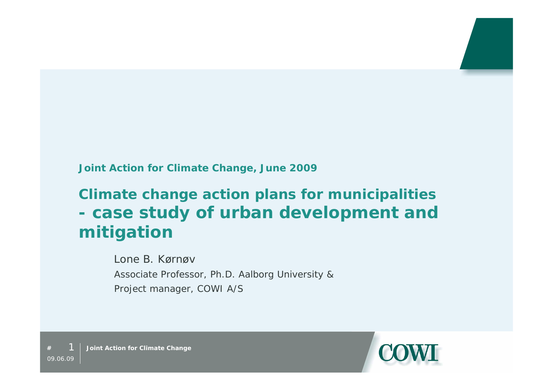#### **Joint Action for Climate Change, June 2009**

# **Climate change action plans for municipalities - case study of urban development and mitigation**

Lone B. KørnøvAssociate Professor, Ph.D. Aalborg University & Project manager, COWI A/S



 1**Joint Action for Climate Change**

**#**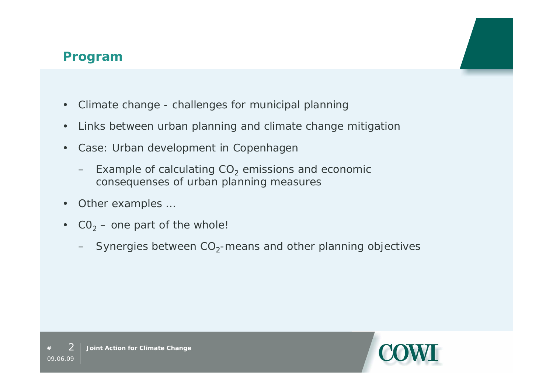#### **Program**

- $\bullet$ Climate change - challenges for municipal planning
- $\bullet$ Links between urban planning and climate change mitigation
- $\bullet$  Case: Urban development in Copenhagen
	- Example of calculating  $CO<sub>2</sub>$  emissions and economic consequenses of urban planning measures
- 0 Other examples …
- $\bullet$  $CO<sub>2</sub>$  – one part of the whole!
	- $-$  Synergies between CO<sub>2</sub>-means and other planning objectives

**#**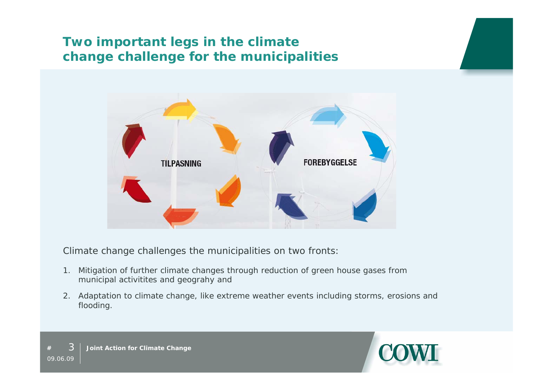## **Two important legs in the climate change challenge for the municipalities**



Climate change challenges the municipalities on two fronts:

- 1. Mitigation of further climate changes through reduction of green house gases from municipal activitites and geograhy and
- 2. Adaptation to climate change, like extreme weather events including storms, erosions and flooding.

**#**

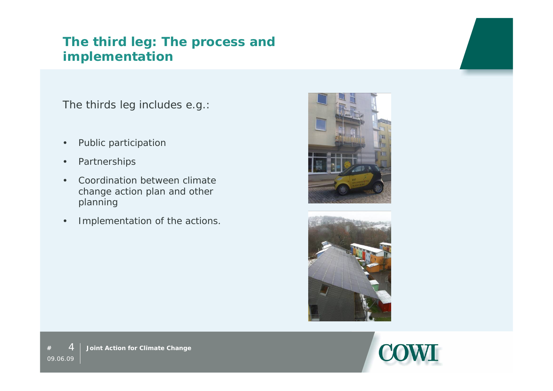#### **The third leg: The process and implementation**

The thirds leg includes e.g.:

- $\bullet$ Public participation
- $\bullet$ Partnerships
- 0 Coordination between climate change action plan and other planning
- $\bullet$ Implementation of the actions.





**#**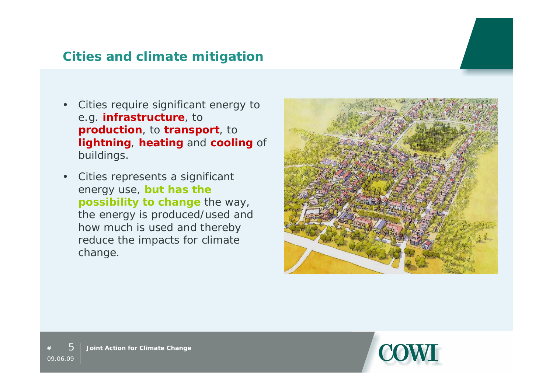#### **Cities and climate mitigation**

- 0 Cities require significant energy to e.g. **infrastructure**, to **production**, to **transport**, to **lightning**, **heating** and **cooling** of buildings.
- $\bullet$  Cities represents a significant energy use, **but has the possibility to change** the way, the energy is produced/used and how much is used and thereby reduce the impacts for climate change.





**Joint Action for Climate Change**

**#**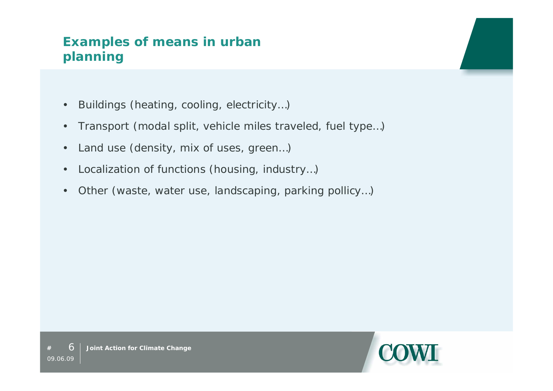## **Examples of means in urban planning**

- $\bullet$ Buildings (heating, cooling, electricity…)
- $\bullet$ Transport (modal split, vehicle miles traveled, fuel type…)
- $\bullet$ Land use (density, mix of uses, green…)
- $\bullet$ Localization of functions (housing, industry…)
- 0 Other (waste, water use, landscaping, parking pollicy…)



**#**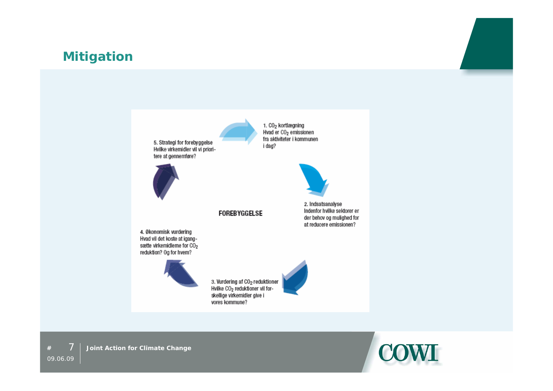#### **Mitigation**

5. Strategi for forebyggelse Hvilke virkemidler vil vi prioritere at gennemføre?



1. CO<sub>2</sub> kortlægning Hvad er CO<sub>2</sub> emissionen fra aktiviteter i kommunen i dag?

**FOREBYGGELSE** 

4. Økonomisk vurdering Hvad vil det koste at igangsætte virkemidlerne for CO2 reduktion? Og for hvem?



3. Vurdering af CO<sub>2</sub> reduktioner<br>Hvilke CO<sub>2</sub> reduktioner vil forskellige virkemidler give i vores kommune?



2. Indsatsanalyse Indenfor hvilke sektorer er

der behov og mulighed for at reducere emissionen?





**#**709.06.09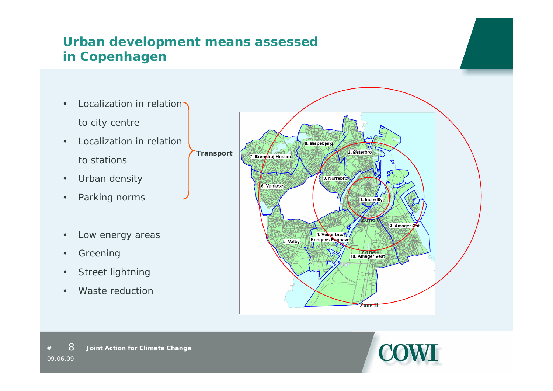## **Urban development means assessed in Copenhagen**

- $\bullet$ Localization in relation to city centre
- $\bullet$  Localization in relation to stations
- $\bullet$ Urban density
- $\bullet$ Parking norms
- $\bullet$ Low energy areas
- 0 Greening
- 0 Street lightning
- 0 Waste reduction





**#** 809.06.09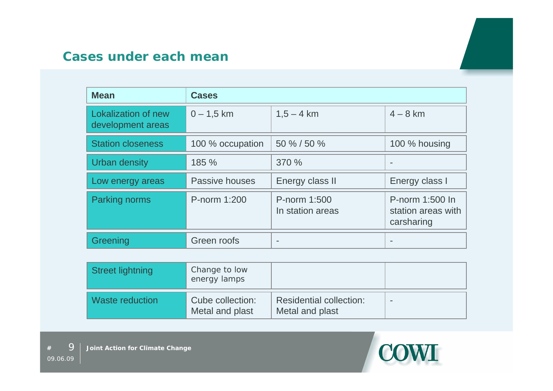| <b>Mean</b>                                     | <b>Cases</b>     |                                  |                                                     |
|-------------------------------------------------|------------------|----------------------------------|-----------------------------------------------------|
| <b>Lokalization of new</b><br>development areas | $0 - 1,5$ km     | $1,5 - 4$ km                     | $4 - 8$ km                                          |
| <b>Station closeness</b>                        | 100 % occupation | 50 % / 50 %                      | 100 % housing                                       |
| <b>Urban density</b>                            | 185 %            | 370 %                            |                                                     |
| Low energy areas                                | Passive houses   | Energy class II                  | Energy class I                                      |
| <b>Parking norms</b>                            | P-norm 1:200     | P-norm 1:500<br>In station areas | P-norm 1:500 In<br>station areas with<br>carsharing |
| Greening                                        | Green roofs      |                                  |                                                     |

| <b>Street lightning</b> | Change to low<br>energy lamps       |                                                   |  |
|-------------------------|-------------------------------------|---------------------------------------------------|--|
| Waste reduction         | Cube collection:<br>Metal and plast | <b>Residential collection:</b><br>Metal and plast |  |

**#**

9

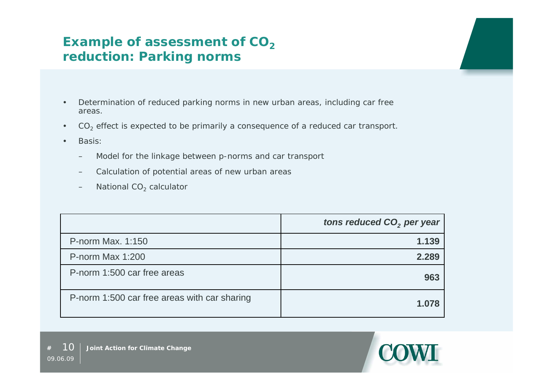#### **Example of assessment of CO<sub>2</sub> reduction: Parking norms**

- $\bullet$  Determination of reduced parking norms in new urban areas, including car free areas.
- $\bullet$ CO<sub>2</sub> effect is expected to be primarily a consequence of a reduced car transport.
- $\bullet$ Basis:

**#**

- Model for the linkage between p-norms and car transport
- Calculation of potential areas of new urban areas
- $-$  National CO<sub>2</sub> calculator

|                                              | tons reduced CO <sub>2</sub> per year |
|----------------------------------------------|---------------------------------------|
| P-norm Max, 1:150                            | 1.139                                 |
| P-norm Max 1:200                             | 2.289                                 |
| P-norm 1:500 car free areas                  | 963                                   |
| P-norm 1:500 car free areas with car sharing | 1.078                                 |

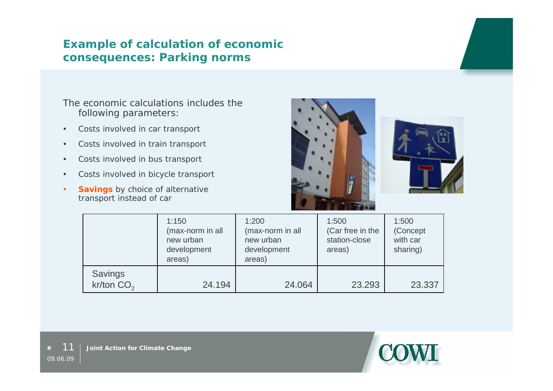#### **Example of calculation of economic consequences: Parking norms**

#### The economic calculations includes the following parameters:

- $\bullet$ Costs involved in car transport
- $\bullet$ Costs involved in train transport
- $\bullet$ Costs involved in bus transport
- $\bullet$ Costs involved in bicycle transport
- **Savings** by choice of alternative transport instead of car





|                                | 1:150<br>(max-norm in all<br>new urban<br>development<br>areas) | 1:200<br>(max-norm in all<br>new urban<br>development<br>areas) | 1:500<br>(Car free in the<br>station-close<br>areas) | 1:500<br>(Concept<br>with car<br>sharing) |
|--------------------------------|-----------------------------------------------------------------|-----------------------------------------------------------------|------------------------------------------------------|-------------------------------------------|
| <b>Savings</b><br>kr/ton $CO2$ | 24.194                                                          | 24.064                                                          | 23.293                                               | 23.337                                    |

**#**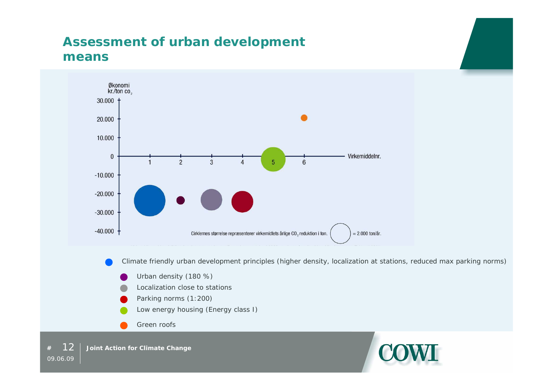#### **Assessment of urban development means**



Climate friendly urban development principles (higher density, localization at stations, reduced max parking norms)

- Urban density (180 %)
- Localization close to stations
- Parking norms (1:200)
- Low energy housing (Energy class I)
- Green roofs

 12**Joint Action for Climate Change**

**#**

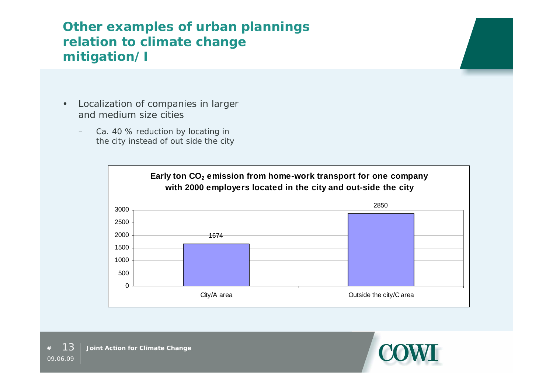## **Other examples of urban plannings relation to climate change mitigation/I**

- $\bullet$  Localization of companies in larger and medium size cities
	- Ca. 40 % reduction by locating in the city instead of out side the city



**#**

13

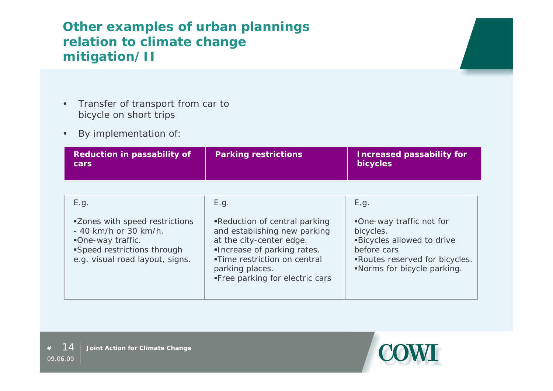## **Other examples of urban plannings relation to climate change mitigation/II**

- $\bullet$  Transfer of transport from car to bicycle on short trips
- $\bullet$ By implementation of:

| <b>Reduction in passability of</b><br>cars                                                                                                         | <b>Parking restrictions</b>                                                                                                                                                                                    | <b>Increased passability for</b><br>bicycles                                                                                                            |
|----------------------------------------------------------------------------------------------------------------------------------------------------|----------------------------------------------------------------------------------------------------------------------------------------------------------------------------------------------------------------|---------------------------------------------------------------------------------------------------------------------------------------------------------|
|                                                                                                                                                    |                                                                                                                                                                                                                |                                                                                                                                                         |
| E.g.                                                                                                                                               | E.g.                                                                                                                                                                                                           | E.g.                                                                                                                                                    |
| <b>Zones with speed restrictions</b><br>- 40 km/h or 30 km/h.<br>One-way traffic.<br>Speed restrictions through<br>e.g. visual road layout, signs. | ■Reduction of central parking<br>and establishing new parking<br>at the city-center edge.<br>Increase of parking rates.<br>■Time restriction on central<br>parking places.<br>■ Free parking for electric cars | ■One-way traffic not for<br>bicycles.<br><b>Bicycles allowed to drive</b><br>before cars<br>Routes reserved for bicycles.<br>Norms for bicycle parking. |

**#**

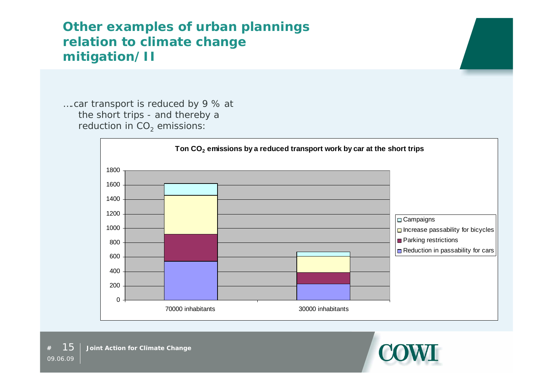### **Other examples of urban plannings relation to climate change mitigation/II**

….car transport is reduced by 9 % at the short trips - and thereby a reduction in  $CO<sub>2</sub>$  emissions:



**#**

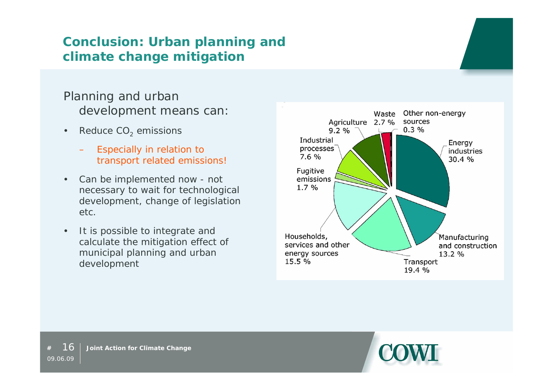## **Conclusion: Urban planning and climate change mitigation**

#### Planning and urban development means can:

- $\bullet$ Reduce CO<sub>2</sub> emissions
	- Especially in relation to transport related emissions!
- $\bullet$  Can be implemented now - not necessary to wait for technological development, change of legislation etc.
- $\bullet$  It is possible to integrate and calculate the mitigation effect of municipal planning and urban development





**#**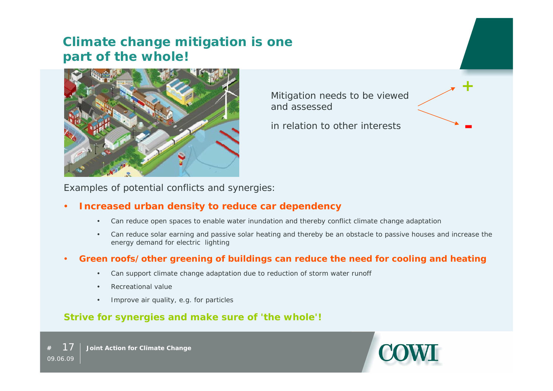#### **Climate change mitigation is one part of the whole!**



Mitigation needs to be viewed and assessed

in relation to other interests



Examples of potential conflicts and synergies:

#### O **Increased urban density to reduce car dependency**

- $\bullet$ Can reduce open spaces to enable water inundation and thereby conflict climate change adaptation
- $\bullet$  Can reduce solar earning and passive solar heating and thereby be an obstacle to passive houses and increase the energy demand for electric lighting

#### 0 **Green roofs/other greening of buildings can reduce the need for cooling and heating**

- $\bullet$ Can support climate change adaptation due to reduction of storm water runoff
- . Recreational value
- ٠ Improve air quality, e.g. for particles

#### **Strive for synergies and make sure of 'the whole'!**

 17 **Joint Action for Climate Change** 09.06.09

**#**